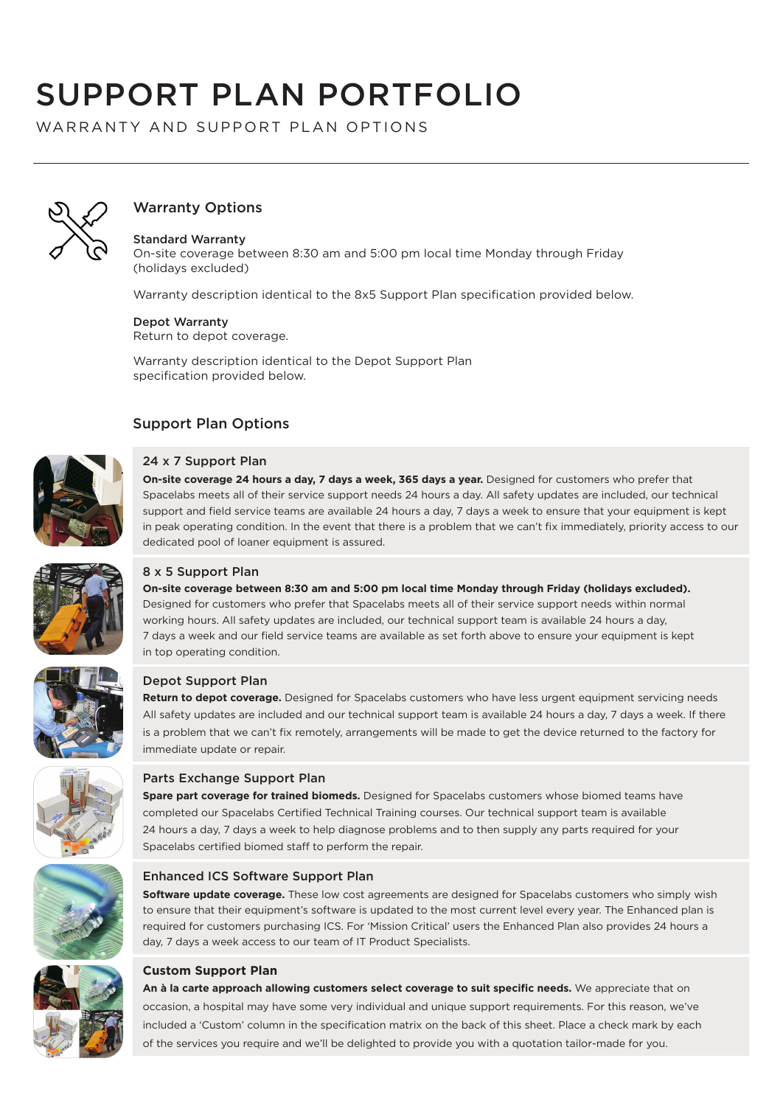# SUPPORT PLAN PORTFOLIO

WARRANTY AND SUPPORT PLAN OPTIONS



# Warranty Options

## Standard Warranty

On-site coverage between 8:30 am and 5:00 pm local time Monday through Friday (holidays excluded)

Warranty description identical to the 8x5 Support Plan specification provided below.

#### Depot Warranty

Return to depot coverage.

Warranty description identical to the Depot Support Plan specification provided below.

## Support Plan Options



## 24 x 7 Support Plan

**On-site coverage 24 hours a day, 7 days a week, 365 days a year.** Designed for customers who prefer that Spacelabs meets all of their service support needs 24 hours a day. All safety updates are included, our technical support and field service teams are available 24 hours a day, 7 days a week to ensure that your equipment is kept in peak operating condition. In the event that there is a problem that we can't fix immediately, priority access to our dedicated pool of loaner equipment is assured.



#### 8 x 5 Support Plan

**On-site coverage between 8:30 am and 5:00 pm local time Monday through Friday (holidays excluded).**  Designed for customers who prefer that Spacelabs meets all of their service support needs within normal working hours. All safety updates are included, our technical support team is available 24 hours a day, 7 days a week and our field service teams are available as set forth above to ensure your equipment is kept in top operating condition.



#### Depot Support Plan

**Return to depot coverage.** Designed for Spacelabs customers who have less urgent equipment servicing needs All safety updates are included and our technical support team is available 24 hours a day, 7 days a week. If there is a problem that we can't fix remotely, arrangements will be made to get the device returned to the factory for immediate update or repair.



#### Parts Exchange Support Plan

**Spare part coverage for trained biomeds.** Designed for Spacelabs customers whose biomed teams have completed our Spacelabs Certified Technical Training courses. Our technical support team is available 24 hours a day, 7 days a week to help diagnose problems and to then supply any parts required for your Spacelabs certified biomed staff to perform the repair.



#### Enhanced ICS Software Support Plan

**Software update coverage.** These low cost agreements are designed for Spacelabs customers who simply wish to ensure that their equipment's software is updated to the most current level every year. The Enhanced plan is required for customers purchasing ICS. For 'Mission Critical' users the Enhanced Plan also provides 24 hours a day, 7 days a week access to our team of IT Product Specialists.



## **Custom Support Plan**

**An à la carte approach allowing customers select coverage to suit specific needs.** We appreciate that on occasion, a hospital may have some very individual and unique support requirements. For this reason, we've included a 'Custom' column in the specification matrix on the back of this sheet. Place a check mark by each of the services you require and we'll be delighted to provide you with a quotation tailor-made for you.